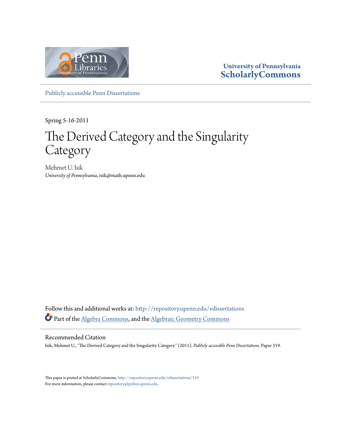

#### **University of Pennsylvania [ScholarlyCommons](http://repository.upenn.edu?utm_source=repository.upenn.edu%2Fedissertations%2F319&utm_medium=PDF&utm_campaign=PDFCoverPages)**

[Publicly accessible Penn Dissertations](http://repository.upenn.edu/edissertations?utm_source=repository.upenn.edu%2Fedissertations%2F319&utm_medium=PDF&utm_campaign=PDFCoverPages)

Spring 5-16-2011

## The Derived Category and the Singularity Category

Mehmet U. Isik *University of Pennsylvania*, isik@math.upenn.edu

Follow this and additional works at: [http://repository.upenn.edu/edissertations](http://repository.upenn.edu/edissertations?utm_source=repository.upenn.edu%2Fedissertations%2F319&utm_medium=PDF&utm_campaign=PDFCoverPages) Part of the [Algebra Commons,](http://network.bepress.com/hgg/discipline/175?utm_source=repository.upenn.edu%2Fedissertations%2F319&utm_medium=PDF&utm_campaign=PDFCoverPages) and the [Algebraic Geometry Commons](http://network.bepress.com/hgg/discipline/176?utm_source=repository.upenn.edu%2Fedissertations%2F319&utm_medium=PDF&utm_campaign=PDFCoverPages)

#### Recommended Citation

Isik, Mehmet U., "The Derived Category and the Singularity Category" (2011). *Publicly accessible Penn Dissertations.* Paper 319.

This paper is posted at ScholarlyCommons. <http://repository.upenn.edu/edissertations/319> For more information, please contact [repository@pobox.upenn.edu.](mailto:repository@pobox.upenn.edu)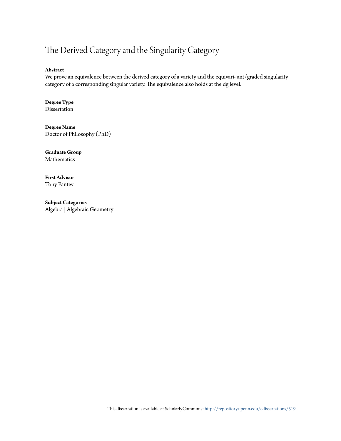#### The Derived Category and the Singularity Category

#### **Abstract**

We prove an equivalence between the derived category of a variety and the equivari- ant/graded singularity category of a corresponding singular variety. The equivalence also holds at the dg level.

**Degree Type** Dissertation

**Degree Name** Doctor of Philosophy (PhD)

**Graduate Group** Mathematics

**First Advisor** Tony Pantev

**Subject Categories** Algebra | Algebraic Geometry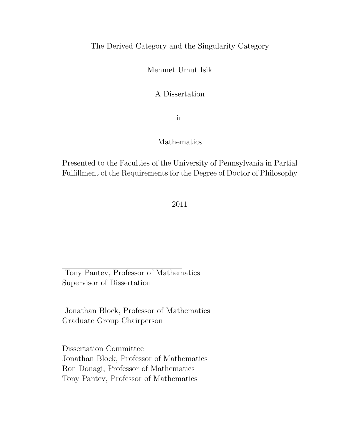#### The Derived Category and the Singularity Category

Mehmet Umut Isik

A Dissertation

in

#### Mathematics

Presented to the Faculties of the University of Pennsylvania in Partial Fulfillment of the Requirements for the Degree of Doctor of Philosophy

#### 2011

Tony Pantev, Professor of Mathematics Supervisor of Dissertation

Jonathan Block, Professor of Mathematics Graduate Group Chairperson

Dissertation Committee Jonathan Block, Professor of Mathematics Ron Donagi, Professor of Mathematics Tony Pantev, Professor of Mathematics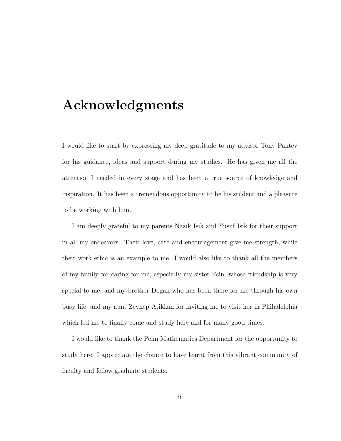## Acknowledgments

I would like to start by expressing my deep gratitude to my advisor Tony Pantev for his guidance, ideas and support during my studies. He has given me all the attention I needed in every stage and has been a true source of knowledge and inspiration. It has been a tremendous opportunity to be his student and a pleasure to be working with him.

I am deeply grateful to my parents Nazik Isik and Yusuf Isik for their support in all my endeavors. Their love, care and encouragement give me strength, while their work ethic is an example to me. I would also like to thank all the members of my family for caring for me, especially my sister Esin, whose friendship is very special to me, and my brother Dogan who has been there for me through his own busy life, and my aunt Zeynep Atikkan for inviting me to visit her in Philadelphia which led me to finally come and study here and for many good times.

I would like to thank the Penn Mathematics Department for the opportunity to study here. I appreciate the chance to have learnt from this vibrant community of faculty and fellow graduate students.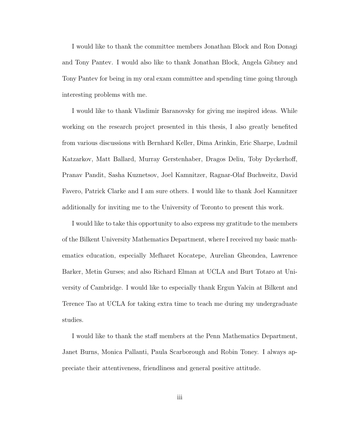I would like to thank the committee members Jonathan Block and Ron Donagi and Tony Pantev. I would also like to thank Jonathan Block, Angela Gibney and Tony Pantev for being in my oral exam committee and spending time going through interesting problems with me.

I would like to thank Vladimir Baranovsky for giving me inspired ideas. While working on the research project presented in this thesis, I also greatly benefited from various discussions with Bernhard Keller, Dima Arinkin, Eric Sharpe, Ludmil Katzarkov, Matt Ballard, Murray Gerstenhaber, Dragos Deliu, Toby Dyckerhoff, Pranav Pandit, Sasha Kuznetsov, Joel Kamnitzer, Ragnar-Olaf Buchweitz, David Favero, Patrick Clarke and I am sure others. I would like to thank Joel Kamnitzer additionally for inviting me to the University of Toronto to present this work.

I would like to take this opportunity to also express my gratitude to the members of the Bilkent University Mathematics Department, where I received my basic mathematics education, especially Mefharet Kocatepe, Aurelian Gheondea, Lawrence Barker, Metin Gurses; and also Richard Elman at UCLA and Burt Totaro at University of Cambridge. I would like to especially thank Ergun Yalcin at Bilkent and Terence Tao at UCLA for taking extra time to teach me during my undergraduate studies.

I would like to thank the staff members at the Penn Mathematics Department, Janet Burns, Monica Pallanti, Paula Scarborough and Robin Toney. I always appreciate their attentiveness, friendliness and general positive attitude.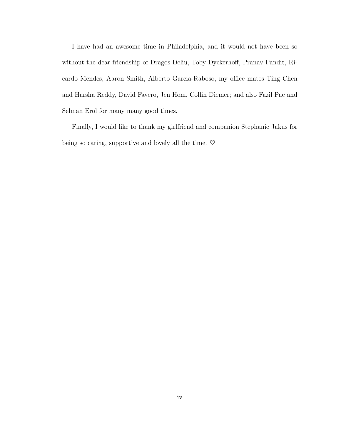I have had an awesome time in Philadelphia, and it would not have been so without the dear friendship of Dragos Deliu, Toby Dyckerhoff, Pranav Pandit, Ricardo Mendes, Aaron Smith, Alberto Garcia-Raboso, my office mates Ting Chen and Harsha Reddy, David Favero, Jen Hom, Collin Diemer; and also Fazil Pac and Selman Erol for many many good times.

Finally, I would like to thank my girlfriend and companion Stephanie Jakus for being so caring, supportive and lovely all the time.  $\heartsuit$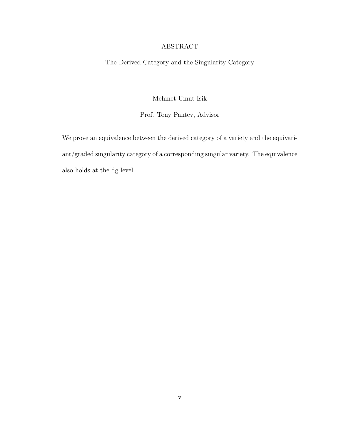#### ABSTRACT

The Derived Category and the Singularity Category

Mehmet Umut Isik

Prof. Tony Pantev, Advisor

We prove an equivalence between the derived category of a variety and the equivariant/graded singularity category of a corresponding singular variety. The equivalence also holds at the dg level.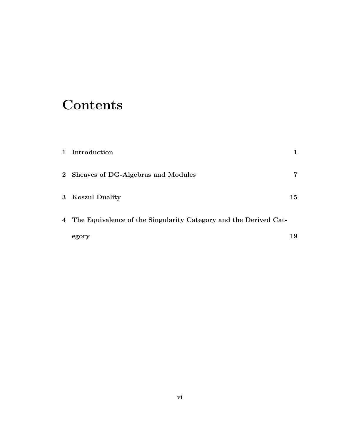## **Contents**

| 1 Introduction                                                     |    |
|--------------------------------------------------------------------|----|
| 2 Sheaves of DG-Algebras and Modules                               | 7  |
| 3 Koszul Duality                                                   | 15 |
| 4 The Equivalence of the Singularity Category and the Derived Cat- |    |
| egory                                                              | 19 |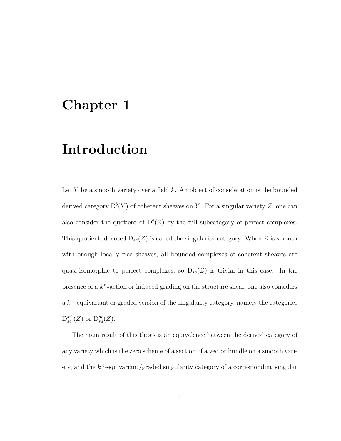## Chapter 1

## Introduction

Let *Y* be a smooth variety over a field *k*. An object of consideration is the bounded derived category  $D^b(Y)$  of coherent sheaves on Y. For a singular variety Z, one can also consider the quotient of  $D^b(Z)$  by the full subcategory of perfect complexes. This quotient, denoted  $D_{sg}(Z)$  is called the singularity category. When  $Z$  is smooth with enough locally free sheaves, all bounded complexes of coherent sheaves are quasi-isomorphic to perfect complexes, so  $D_{sg}(Z)$  is trivial in this case. In the presence of a *k*×-action or induced grading on the structure sheaf, one also considers a *k*×-equivariant or graded version of the singularity category, namely the categories  $D_{sg}^{k^{\times}}(Z)$  or  $D_{sg}^{gr}(Z)$ .

The main result of this thesis is an equivalence between the derived category of any variety which is the zero scheme of a section of a vector bundle on a smooth variety, and the *k*×-equivariant/graded singularity category of a corresponding singular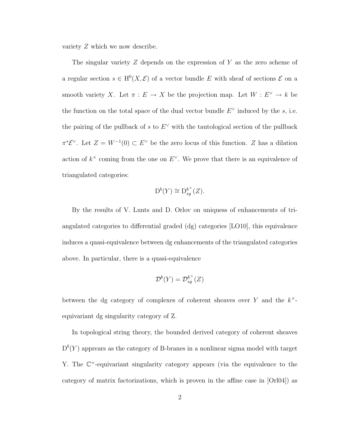variety *Z* which we now describe.

The singular variety *Z* depends on the expression of *Y* as the zero scheme of a regular section  $s \in H^0(X, \mathcal{E})$  of a vector bundle *E* with sheaf of sections  $\mathcal{E}$  on a smooth variety *X*. Let  $\pi : E \to X$  be the projection map. Let  $W : E^{\vee} \to k$  be the function on the total space of the dual vector bundle  $E^{\vee}$  induced by the *s*, i.e. the pairing of the pullback of *s* to  $E^{\vee}$  with the tautological section of the pullback  $\pi^* \mathcal{E}^{\vee}$ . Let  $Z = W^{-1}(0) \subset E^{\vee}$  be the zero locus of this function. *Z* has a dilation action of  $k^{\times}$  coming from the one on  $E^{\vee}$ . We prove that there is an equivalence of triangulated categories:

$$
\mathcal{D}^b(Y) \cong \mathcal{D}_{sg}^{k^{\times}}(Z).
$$

By the results of V. Lunts and D. Orlov on uniquess of enhancements of triangulated categories to differential graded (dg) categories [LO10], this equivalence induces a quasi-equivalence between dg enhancements of the triangulated categories above. In particular, there is a quasi-equivalence

$$
\mathcal{D}^b(Y) = \mathcal{D}_{sg}^{k^{\times}}(Z)
$$

between the dg category of complexes of coherent sheaves over *Y* and the *k*× equivariant dg singularity category of Z.

In topological string theory, the bounded derived category of coherent sheaves  $D^{b}(Y)$  apprears as the category of B-branes in a nonlinear sigma model with target Y. The  $\mathbb{C}^{\times}$ -equivariant singularity category appears (via the equivalence to the category of matrix factorizations, which is proven in the affine case in [Orl04]) as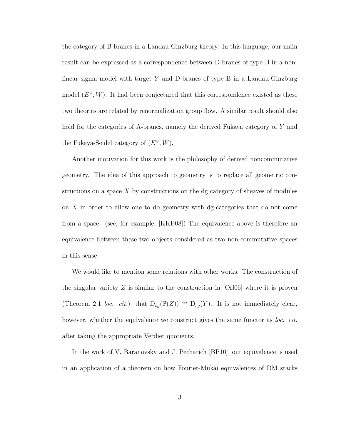the category of B-branes in a Landau-Ginzburg theory. In this language, our main result can be expressed as a correspondence between D-branes of type B in a nonlinear sigma model with target *Y* and D-branes of type B in a Landau-Ginzburg model  $(E^{\vee}, W)$ . It had been conjectured that this correspondence existed as these two theories are related by renormalization group flow. A similar result should also hold for the categories of A-branes, namely the derived Fukaya category of *Y* and the Fukaya-Seidel category of (*E*∨*, W*).

Another motivation for this work is the philosophy of derived noncommutative geometry. The idea of this approach to geometry is to replace all geometric constructions on a space *X* by constructions on the dg category of sheaves of modules on *X* in order to allow one to do geometry with dg-categories that do not come from a space. (see, for example, [KKP08]) The equivalence above is therefore an equivalence between these two objects considered as two non-commutative spaces in this sense.

We would like to mention some relations with other works. The construction of the singular variety *Z* is similar to the construction in [Orl06] where it is proven (Theorem 2.1 *loc. cit.*) that  $D_{sg}(\mathbb{P}(Z)) \cong D_{sg}(Y)$ . It is not immediately clear, however, whether the equivalence we construct gives the same functor as *loc. cit.* after taking the appropriate Verdier quotients.

In the work of V. Baranovsky and J. Pecharich [BP10], our equivalence is used in an application of a theorem on how Fourier-Mukai equivalences of DM stacks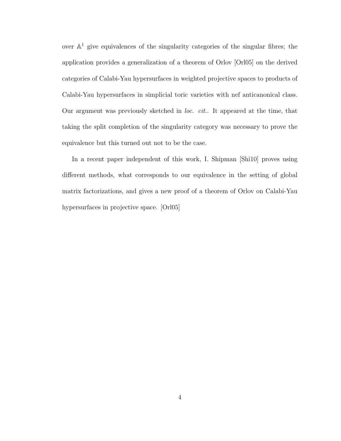over  $\mathbb{A}^1$  give equivalences of the singularity categories of the singular fibres; the application provides a generalization of a theorem of Orlov [Orl05] on the derived categories of Calabi-Yau hypersurfaces in weighted projective spaces to products of Calabi-Yau hypersurfaces in simplicial toric varieties with nef anticanonical class. Our argument was previously sketched in *loc. cit.*. It appeared at the time, that taking the split completion of the singularity category was necessary to prove the equivalence but this turned out not to be the case.

In a recent paper independent of this work, I. Shipman [Shi10] proves using different methods, what corresponds to our equivalence in the setting of global matrix factorizations, and gives a new proof of a theorem of Orlov on Calabi-Yau hypersurfaces in projective space. [Orl05]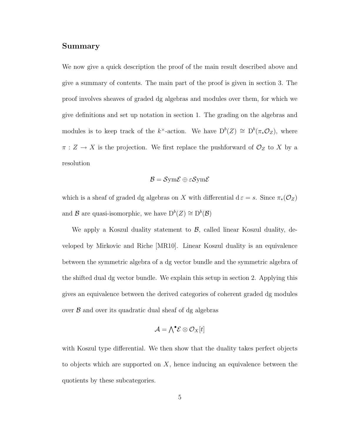#### Summary

We now give a quick description the proof of the main result described above and give a summary of contents. The main part of the proof is given in section 3. The proof involves sheaves of graded dg algebras and modules over them, for which we give definitions and set up notation in section 1. The grading on the algebras and modules is to keep track of the  $k^{\times}$ -action. We have  $D^{b}(Z) \cong D^{b}(\pi_{*} \mathcal{O}_{Z}),$  where  $\pi: Z \to X$  is the projection. We first replace the pushforward of  $\mathcal{O}_Z$  to X by a resolution

$$
\mathcal{B} = \mathcal{S}ym\mathcal{E} \oplus \varepsilon \mathcal{S}ym\mathcal{E}
$$

which is a sheaf of graded dg algebras on *X* with differential d $\varepsilon = s$ . Since  $\pi_*(\mathcal{O}_Z)$ and *B* are quasi-isomorphic, we have  $D^b(Z) \cong D^b(\mathcal{B})$ 

We apply a Koszul duality statement to  $\beta$ , called linear Koszul duality, developed by Mirkovic and Riche [MR10]. Linear Koszul duality is an equivalence between the symmetric algebra of a dg vector bundle and the symmetric algebra of the shifted dual dg vector bundle. We explain this setup in section 2. Applying this gives an equivalence between the derived categories of coherent graded dg modules over *B* and over its quadratic dual sheaf of dg algebras

$$
\mathcal{A} = \bigwedge^\bullet \mathcal{E} \otimes \mathcal{O}_X[t]
$$

with Koszul type differential. We then show that the duality takes perfect objects to objects which are supported on *X*, hence inducing an equivalence between the quotients by these subcategories.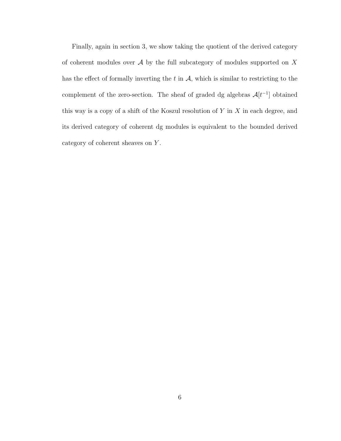Finally, again in section 3, we show taking the quotient of the derived category of coherent modules over *A* by the full subcategory of modules supported on *X* has the effect of formally inverting the  $t$  in  $A$ , which is similar to restricting to the complement of the zero-section. The sheaf of graded dg algebras  $\mathcal{A}[t^{-1}]$  obtained this way is a copy of a shift of the Koszul resolution of *Y* in *X* in each degree, and its derived category of coherent dg modules is equivalent to the bounded derived category of coherent sheaves on *Y* .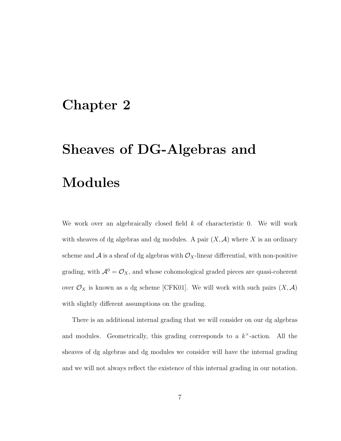## Chapter 2

## Sheaves of DG-Algebras and Modules

We work over an algebraically closed field *k* of characteristic 0. We will work with sheaves of dg algebras and dg modules. A pair  $(X, \mathcal{A})$  where X is an ordinary scheme and  $\mathcal A$  is a sheaf of dg algebras with  $\mathcal O_X$ -linear differential, with non-positive grading, with  $\mathcal{A}^0 = \mathcal{O}_X$ , and whose cohomological graded pieces are quasi-coherent over  $\mathcal{O}_X$  is known as a dg scheme [CFK01]. We will work with such pairs  $(X, \mathcal{A})$ with slightly different assumptions on the grading.

There is an additional internal grading that we will consider on our dg algebras and modules. Geometrically, this grading corresponds to a *k*×-action. All the sheaves of dg algebras and dg modules we consider will have the internal grading and we will not always reflect the existence of this internal grading in our notation.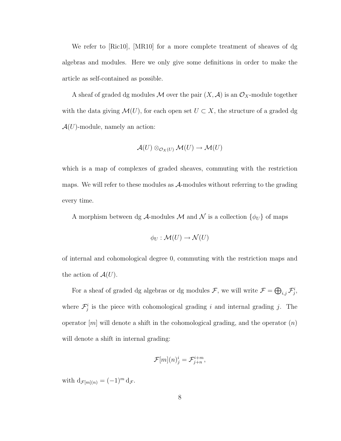We refer to [Ric10], [MR10] for a more complete treatment of sheaves of dg algebras and modules. Here we only give some definitions in order to make the article as self-contained as possible.

A sheaf of graded dg modules  $M$  over the pair  $(X, \mathcal{A})$  is an  $\mathcal{O}_X$ -module together with the data giving  $\mathcal{M}(U)$ , for each open set  $U \subset X$ , the structure of a graded dg  $\mathcal{A}(U)$ -module, namely an action:

$$
\mathcal{A}(U) \otimes_{\mathcal{O}_X(U)} \mathcal{M}(U) \to \mathcal{M}(U)
$$

which is a map of complexes of graded sheaves, commuting with the restriction maps. We will refer to these modules as *A*-modules without referring to the grading every time.

A morphism between dg  $\mathcal{A}$ -modules  $\mathcal{M}$  and  $\mathcal{N}$  is a collection  $\{\phi_U\}$  of maps

$$
\phi_U : \mathcal{M}(U) \to \mathcal{N}(U)
$$

of internal and cohomological degree 0, commuting with the restriction maps and the action of  $\mathcal{A}(U)$ .

For a sheaf of graded dg algebras or dg modules  $\mathcal{F}$ , we will write  $\mathcal{F} = \bigoplus_{i,j} \mathcal{F}_j^i$ , where  $\mathcal{F}^i_j$  is the piece with cohomological grading *i* and internal grading *j*. The operator [*m*] will denote a shift in the cohomological grading, and the operator (*n*) will denote a shift in internal grading:

$$
\mathcal{F}[m](n)^i_j = \mathcal{F}^{i+m}_{j+n},
$$

with  $d_{\mathcal{F}[m](n)} = (-1)^m d_{\mathcal{F}}$ .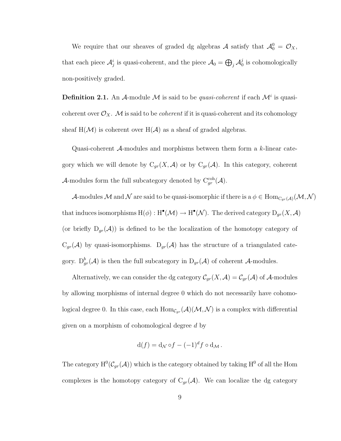We require that our sheaves of graded dg algebras  $A$  satisfy that  $A_0^0 = \mathcal{O}_X$ , that each piece  $\mathcal{A}_j^i$  is quasi-coherent, and the piece  $\mathcal{A}_0 = \bigoplus_j \mathcal{A}_0^j$  is cohomologically non-positively graded.

**Definition 2.1.** An *A*-module *M* is said to be *quasi-coherent* if each  $\mathcal{M}^i$  is quasicoherent over  $\mathcal{O}_X$ . M is said to be *coherent* if it is quasi-coherent and its cohomology sheaf  $H(\mathcal{M})$  is coherent over  $H(\mathcal{A})$  as a sheaf of graded algebras.

Quasi-coherent *A*-modules and morphisms between them form a *k*-linear category which we will denote by  $C_{gr}(X, \mathcal{A})$  or by  $C_{gr}(\mathcal{A})$ . In this category, coherent *A*-modules form the full subcategory denoted by  $C_{gr}^{coh}(\mathcal{A})$ .

*A*-modules *M* and *N* are said to be quasi-isomorphic if there is a  $\phi \in Hom_{C_{gr}(A)}(\mathcal{M}, \mathcal{N})$ that induces isomorphisms  $H(\phi) : H^{\bullet}(\mathcal{M}) \to H^{\bullet}(\mathcal{N})$ . The derived category  $D_{gr}(X, \mathcal{A})$ (or briefly  $D_{gr}(\mathcal{A})$ ) is defined to be the localization of the homotopy category of  $C_{gr}(\mathcal{A})$  by quasi-isomorphisms.  $D_{gr}(\mathcal{A})$  has the structure of a triangulated category.  $D_{gr}^b(\mathcal{A})$  is then the full subcategory in  $D_{gr}(\mathcal{A})$  of coherent  $\mathcal{A}$ -modules.

Alternatively, we can consider the dg category  $C_{gr}(X, A) = C_{gr}(A)$  of A-modules by allowing morphisms of internal degree 0 which do not necessarily have cohomological degree 0. In this case, each  $Hom_{\mathcal{C}_{gr}}(\mathcal{A})(\mathcal{M}, \mathcal{N})$  is a complex with differential given on a morphism of cohomological degree *d* by

$$
d(f) = d_{\mathcal{N}} \circ f - (-1)^d f \circ d_{\mathcal{M}}.
$$

The category  $H^0(\mathcal{C}_{gr}(\mathcal{A}))$  which is the category obtained by taking  $H^0$  of all the Hom complexes is the homotopy category of  $C_{gr}(\mathcal{A})$ . We can localize the dg category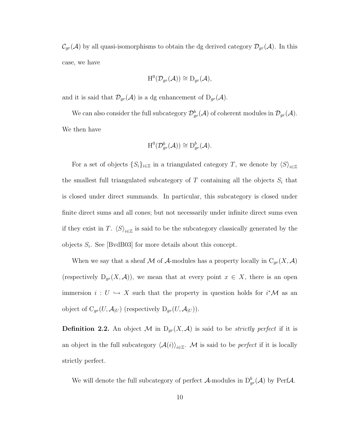$C_{gr}(\mathcal{A})$  by all quasi-isomorphisms to obtain the dg derived category  $\mathcal{D}_{gr}(\mathcal{A})$ . In this case, we have

$$
H^0(\mathcal{D}_{gr}(\mathcal{A})) \cong D_{gr}(\mathcal{A}),
$$

and it is said that  $\mathcal{D}_{gr}(\mathcal{A})$  is a dg enhancement of  $D_{gr}(\mathcal{A})$ .

We can also consider the full subcategory  $\mathcal{D}^b_{gr}(\mathcal{A})$  of coherent modules in  $\mathcal{D}_{gr}(\mathcal{A})$ . We then have

$$
H^0(\mathcal{D}_{gr}^b(\mathcal{A})) \cong D_{gr}^b(\mathcal{A}).
$$

For a set of objects  $\{S_i\}_{i\in\mathbb{Z}}$  in a triangulated category *T*, we denote by  $\langle S \rangle_{i\in\mathbb{Z}}$ the smallest full triangulated subcategory of *T* containing all the objects *S<sup>i</sup>* that is closed under direct summands. In particular, this subcategory is closed under finite direct sums and all cones; but not necessarily under infinite direct sums even if they exist in *T*.  $\langle S \rangle_{i \in \mathbb{Z}}$  is said to be the subcategory classically generated by the objects  $S_i$ . See [BvdB03] for more details about this concept.

When we say that a sheaf  $M$  of  $A$ -modules has a property locally in  $C_{gr}(X, A)$ (respectively  $D_{gr}(X, \mathcal{A})$ ), we mean that at every point  $x \in X$ , there is an open immersion  $i: U \hookrightarrow X$  such that the property in question holds for  $i^*\mathcal{M}$  as an object of  $C_{gr}(U, \mathcal{A}_{|U})$  (respectively  $D_{gr}(U, \mathcal{A}_{|U})$ ).

**Definition 2.2.** An object M in  $D_{gr}(X, \mathcal{A})$  is said to be *strictly perfect* if it is an object in the full subcategory  $\langle A(i) \rangle_{i \in \mathbb{Z}}$ . *M* is said to be *perfect* if it is locally strictly perfect.

We will denote the full subcategory of perfect  $\mathcal{A}$ -modules in  $D^b_{gr}(\mathcal{A})$  by Perf $\mathcal{A}$ .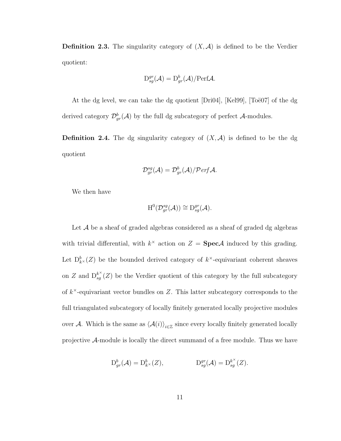**Definition 2.3.** The singularity category of  $(X, \mathcal{A})$  is defined to be the Verdier quotient:

$$
\mathcal{D}_{sg}^{gr}(\mathcal{A}) = \mathcal{D}_{gr}^{b}(\mathcal{A})/\text{Perf}\mathcal{A}.
$$

At the dg level, we can take the dg quotient  $[Dri04]$ ,  $[Kel99]$ ,  $[Toë07]$  of the dg derived category  $\mathcal{D}_{gr}^b(\mathcal{A})$  by the full dg subcategory of perfect  $\mathcal{A}$ -modules.

**Definition 2.4.** The dg singularity category of  $(X, \mathcal{A})$  is defined to be the dg quotient

$$
\mathcal{D}_{gr}^{sg}(\mathcal{A})=\mathcal{D}_{gr}^b(\mathcal{A})/\mathcal{P}erf\mathcal{A}.
$$

We then have

$$
H^0(\mathcal{D}_{gr}^{sg}(\mathcal{A})) \cong D_{sg}^{gr}(\mathcal{A}).
$$

Let A be a sheaf of graded algebras considered as a sheaf of graded dg algebras with trivial differential, with  $k^{\times}$  action on  $Z = \text{Spec} \mathcal{A}$  induced by this grading. Let  $D_{k}^{b}(Z)$  be the bounded derived category of  $k^{\times}$ -equivariant coherent sheaves on *Z* and  $D_{sg}^{k^{\times}}(Z)$  be the Verdier quotient of this category by the full subcategory of *k*×-equivariant vector bundles on *Z*. This latter subcategory corresponds to the full triangulated subcategory of locally finitely generated locally projective modules over *A*. Which is the same as  $\langle A(i) \rangle_{i \in \mathbb{Z}}$  since every locally finitely generated locally projective *A*-module is locally the direct summand of a free module. Thus we have

$$
D_{gr}^b(\mathcal{A}) = D_{k^\times}^b(Z), \qquad D_{sg}^{gr}(\mathcal{A}) = D_{sg}^{k^\times}(Z).
$$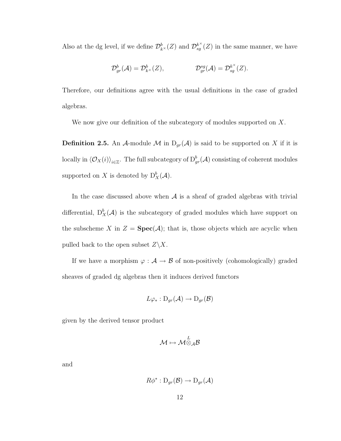Also at the dg level, if we define  $\mathcal{D}_{k}^{b}(Z)$  and  $\mathcal{D}_{sg}^{k^{\times}}(Z)$  in the same manner, we have

$$
\mathcal{D}_{gr}^b(\mathcal{A})=\mathcal{D}_{k^{\times}}^b(Z), \qquad \qquad \mathcal{D}_{gr}^{sg}(\mathcal{A})=\mathcal{D}_{sg}^{k^{\times}}(Z).
$$

Therefore, our definitions agree with the usual definitions in the case of graded algebras.

We now give our definition of the subcategory of modules supported on *X*.

**Definition 2.5.** An *A*-module *M* in  $D_{gr}(A)$  is said to be supported on *X* if it is locally in  $\langle \mathcal{O}_X(i) \rangle_{i \in \mathbb{Z}}$ . The full subcategory of  $D^b_{gr}(\mathcal{A})$  consisting of coherent modules supported on *X* is denoted by  $D_X^b(\mathcal{A})$ .

In the case discussed above when  $A$  is a sheaf of graded algebras with trivial differential,  $D_X^b(\mathcal{A})$  is the subcategory of graded modules which have support on the subscheme *X* in  $Z = \text{Spec}(\mathcal{A})$ ; that is, those objects which are acyclic when pulled back to the open subset  $Z\backslash X$ .

If we have a morphism  $\varphi:\mathcal{A}\to\mathcal{B}$  of non-positively (cohomologically) graded sheaves of graded dg algebras then it induces derived functors

$$
L\varphi_*: \mathrm{D}_{gr}(\mathcal{A}) \to \mathrm{D}_{gr}(\mathcal{B})
$$

given by the derived tensor product

$$
\mathcal{M} \mapsto \mathcal{M}^L_{\otimes_{\mathcal{A}} \mathcal{B}}
$$

and

$$
R\phi^*: \mathrm{D}_{gr}(\mathcal{B}) \to \mathrm{D}_{gr}(\mathcal{A})
$$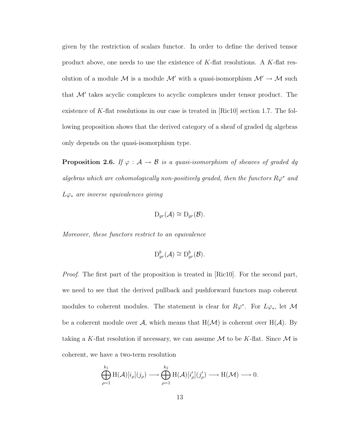given by the restriction of scalars functor. In order to define the derived tensor product above, one needs to use the existence of *K*-flat resolutions. A *K*-flat resolution of a module  $M$  is a module  $M'$  with a quasi-isomorphism  $M' \to M$  such that  $\mathcal{M}'$  takes acyclic complexes to acyclic complexes under tensor product. The existence of *K*-flat resolutions in our case is treated in [Ric10] section 1.7. The following proposition shows that the derived category of a sheaf of graded dg algebras only depends on the quasi-isomorphism type.

**Proposition 2.6.** *If*  $\varphi : A \to B$  *is a quasi-isomorphism of sheaves of graded dg algebras which are cohomologically non-positively graded, then the functors*  $R\varphi^*$  *and L*ϕ<sup>∗</sup> *are inverse equivalences giving*

$$
D_{gr}(\mathcal{A}) \cong D_{gr}(\mathcal{B}).
$$

*Moreover, these functors restrict to an equivalence*

$$
\mathrm{D}_{gr}^b(\mathcal{A}) \cong \mathrm{D}_{gr}^b(\mathcal{B}).
$$

*Proof.* The first part of the proposition is treated in [Ric10]. For the second part, we need to see that the derived pullback and pushforward functors map coherent modules to coherent modules. The statement is clear for  $R\varphi^*$ . For  $L\varphi_*$ , let  $\mathcal M$ be a coherent module over A, which means that  $H(\mathcal{M})$  is coherent over  $H(\mathcal{A})$ . By taking a *K*-flat resolution if necessary, we can assume  $M$  to be *K*-flat. Since  $M$  is coherent, we have a two-term resolution

$$
\bigoplus_{\rho=1}^{k_1} \mathrm{H}(\mathcal{A})[i_{\rho}](j_{\rho}) \longrightarrow \bigoplus_{\rho=1}^{k_2} \mathrm{H}(\mathcal{A})[i'_{\rho}](j'_{\rho}) \longrightarrow \mathrm{H}(\mathcal{M}) \longrightarrow 0.
$$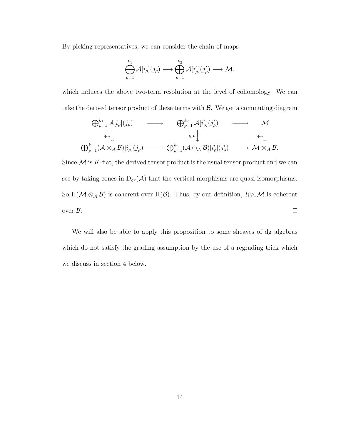By picking representatives, we can consider the chain of maps

$$
\bigoplus_{\rho=1}^{k_1} \mathcal{A}[i_\rho](j_\rho) \longrightarrow \bigoplus_{\rho=1}^{k_2} \mathcal{A}[i'_\rho](j'_\rho) \longrightarrow \mathcal{M}.
$$

which induces the above two-term resolution at the level of cohomology. We can take the derived tensor product of these terms with *B*. We get a commuting diagram

$$
\bigoplus_{\rho=1}^{k_1} \mathcal{A}[i_{\rho}](j_{\rho}) \longrightarrow \bigoplus_{\rho=1}^{k_2} \mathcal{A}[i'_{\rho}](j'_{\rho}) \longrightarrow \mathcal{M}
$$
\n
$$
\bigoplus_{q.i.}^{q.i.} \downarrow \qquad \qquad \text{q.i.} \downarrow \qquad \qquad \text{q.i.} \downarrow
$$
\n
$$
\bigoplus_{\rho=1}^{k_1} (\mathcal{A} \otimes_{\mathcal{A}} \mathcal{B})[i_{\rho}](j_{\rho}) \longrightarrow \bigoplus_{\rho=1}^{k_2} (\mathcal{A} \otimes_{\mathcal{A}} \mathcal{B})[i'_{\rho}](j'_{\rho}) \longrightarrow \mathcal{M} \otimes_{\mathcal{A}} \mathcal{B}.
$$

Since  $M$  is  $K$ -flat, the derived tensor product is the usual tensor product and we can see by taking cones in  $D_{gr}(A)$  that the vertical morphisms are quasi-isomorphisms. So H( $M \otimes_A B$ ) is coherent over H( $B$ ). Thus, by our definition,  $R\varphi_*\mathcal{M}$  is coherent over *B*.  $\Box$ 

We will also be able to apply this proposition to some sheaves of dg algebras which do not satisfy the grading assumption by the use of a regrading trick which we discuss in section 4 below.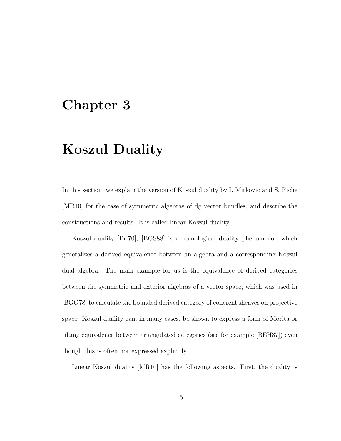#### Chapter 3

## Koszul Duality

In this section, we explain the version of Koszul duality by I. Mirkovic and S. Riche [MR10] for the case of symmetric algebras of dg vector bundles, and describe the constructions and results. It is called linear Koszul duality.

Koszul duality [Pri70], [BGS88] is a homological duality phenomenon which generalizes a derived equivalence between an algebra and a corresponding Koszul dual algebra. The main example for us is the equivalence of derived categories between the symmetric and exterior algebras of a vector space, which was used in [BGG78] to calculate the bounded derived category of coherent sheaves on projective space. Koszul duality can, in many cases, be shown to express a form of Morita or tilting equivalence between triangulated categories (see for example [BEH87]) even though this is often not expressed explicitly.

Linear Koszul duality [MR10] has the following aspects. First, the duality is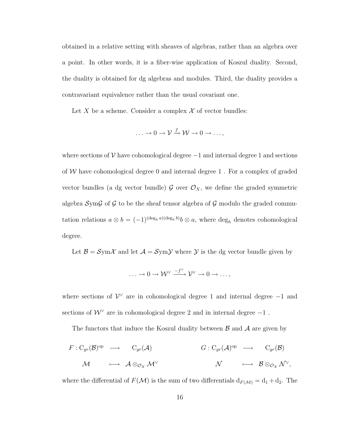obtained in a relative setting with sheaves of algebras, rather than an algebra over a point. In other words, it is a fiber-wise application of Koszul duality. Second, the duality is obtained for dg algebras and modules. Third, the duality provides a contravariant equivalence rather than the usual covariant one.

Let *X* be a scheme. Consider a complex  $\mathcal X$  of vector bundles:

$$
\ldots \to 0 \to \mathcal{V} \xrightarrow{f} \mathcal{W} \to 0 \to \ldots,
$$

where sections of  $V$  have cohomological degree  $-1$  and internal degree 1 and sections of *W* have cohomological degree 0 and internal degree 1 . For a complex of graded vector bundles (a dg vector bundle)  $\mathcal{G}$  over  $\mathcal{O}_X$ , we define the graded symmetric algebra *S*ym*G* of *G* to be the sheaf tensor algebra of *G* modulo the graded commutation relations  $a \otimes b = (-1)^{(\deg_h a)(\deg_h b)} b \otimes a$ , where  $\deg_h$  denotes cohomological degree.

Let  $\mathcal{B} = \mathcal{S}$ ym $\mathcal{X}$  and let  $\mathcal{A} = \mathcal{S}$ ym $\mathcal{Y}$  where  $\mathcal{Y}$  is the dg vector bundle given by

$$
\ldots \to 0 \to \mathcal{W}^{\vee} \xrightarrow{-f^{\vee}} \mathcal{V}^{\vee} \to 0 \to \ldots,
$$

where sections of  $\mathcal{V}^{\vee}$  are in cohomological degree 1 and internal degree -1 and sections of  $W^{\vee}$  are in cohomological degree 2 and in internal degree  $-1$ .

The functors that induce the Koszul duality between *B* and *A* are given by

$$
F: C_{gr}(\mathcal{B})^{op} \longrightarrow C_{gr}(\mathcal{A}) \qquad G: C_{gr}(\mathcal{A})^{op} \longrightarrow C_{gr}(\mathcal{B})
$$
  

$$
\mathcal{M} \qquad \longmapsto \mathcal{A} \otimes_{\mathcal{O}_X} \mathcal{M}^{\vee} \qquad \qquad \mathcal{N} \qquad \longmapsto \mathcal{B} \otimes_{\mathcal{O}_X} \mathcal{N}^{\vee},
$$

where the differential of  $F(\mathcal{M})$  is the sum of two differentials  $d_{F(\mathcal{M})} = d_1 + d_2$ . The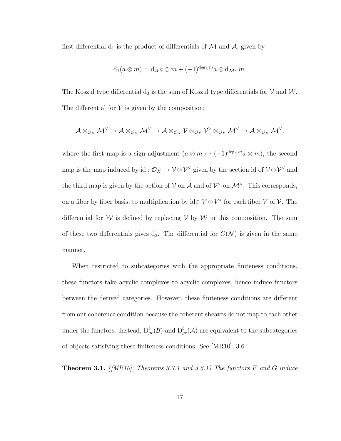first differential  $d_1$  is the product of differentials of  $M$  and  $A$ , given by

$$
d_1(a\otimes m)=d_{\mathcal{A}}\,a\otimes m+(-1)^{\deg_h m}a\otimes d_{\mathcal{M}^\vee} m.
$$

The Koszul type differential  $d_2$  is the sum of Koszul type differentials for  $V$  and  $W$ . The differential for  $V$  is given by the composition:

$$
\mathcal{A}\otimes_{\mathcal{O}_X}\mathcal{M}^\vee\to \mathcal{A}\otimes_{\mathcal{O}_X}\mathcal{M}^\vee\to \mathcal{A}\otimes_{\mathcal{O}_X}\mathcal{V}\otimes_{\mathcal{O}_X}\mathcal{V}^\vee\otimes_{\mathcal{O}_X}\mathcal{M}^\vee\to \mathcal{A}\otimes_{\mathcal{O}_X}\mathcal{M}^\vee,
$$

where the first map is a sign adjustment  $(a \otimes m \mapsto (-1)^{\deg_h m} a \otimes m)$ , the second map is the map induced by id :  $\mathcal{O}_X \to \mathcal{V} \otimes \mathcal{V}^\vee$  given by the section id of  $\mathcal{V} \otimes \mathcal{V}^\vee$  and the third map is given by the action of  $V$  on  $\mathcal A$  and of  $\mathcal V^\vee$  on  $\mathcal M^\vee$ . This corresponds, on a fiber by fiber basis, to multiplication by  $id \in V \otimes V^*$  for each fiber *V* of *V*. The differential for *W* is defined by replacing *V* by *W* in this composition. The sum of these two differentials gives  $d_2$ . The differential for  $G(\mathcal{N})$  is given in the same manner.

When restricted to subcategories with the appropriate finiteness conditions, these functors take acyclic complexes to acyclic complexes, hence induce functors between the derived categories. However, these finiteness conditions are different from our coherence condition because the coherent sheaves do not map to each other under the functors. Instead,  $D_{gr}^b(\mathcal{B})$  and  $D_{gr}^b(\mathcal{A})$  are equivalent to the subcategories of objects satisfying these finiteness conditions. See [MR10], 3.6.

Theorem 3.1. *([MR10], Theorems 3.7.1 and 3.6.1) The functors F and G induce*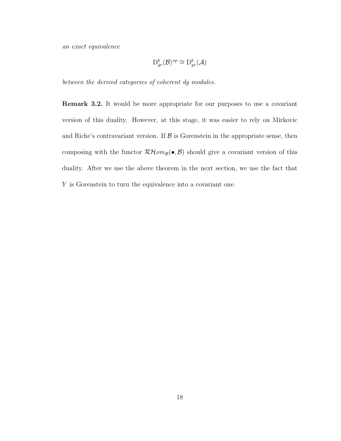*an exact equivalence*

$$
\mathrm{D}_{gr}^b(\mathcal{B})^{op}\cong \mathrm{D}_{gr}^b(\mathcal{A})
$$

*between the derived categories of coherent dg modules.*

Remark 3.2. It would be more appropriate for our purposes to use a covariant version of this duality. However, at this stage, it was easier to rely on Mirkovic and Riche's contravariant version. If  $\beta$  is Gorenstein in the appropriate sense, then composing with the functor  $\mathcal{RH}\text{om}_{\mathcal{B}}(\bullet,\mathcal{B})$  should give a covariant version of this duality. After we use the above theorem in the next section, we use the fact that *Y* is Gorenstein to turn the equivalence into a covariant one.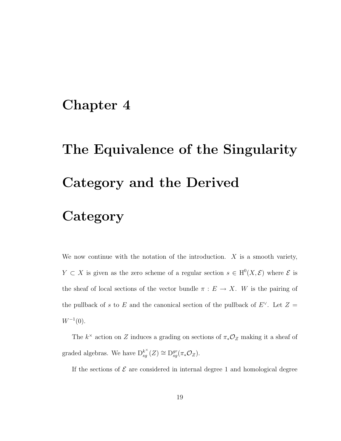## Chapter 4

# The Equivalence of the Singularity Category and the Derived **Category**

We now continue with the notation of the introduction. *X* is a smooth variety, *Y*  $\subset X$  is given as the zero scheme of a regular section  $s \in H^0(X, \mathcal{E})$  where  $\mathcal{E}$  is the sheaf of local sections of the vector bundle  $\pi : E \to X$ . W is the pairing of the pullback of *s* to *E* and the canonical section of the pullback of  $E^{\vee}$ . Let  $Z =$  $W^{-1}(0)$ .

The  $k^{\times}$  action on *Z* induces a grading on sections of  $\pi_*\mathcal{O}_Z$  making it a sheaf of graded algebras. We have  $D_{sg}^{k^{\times}}(Z) \cong D_{sg}^{gr}(\pi_{*}\mathcal{O}_{Z}).$ 

If the sections of  $\mathcal E$  are considered in internal degree 1 and homological degree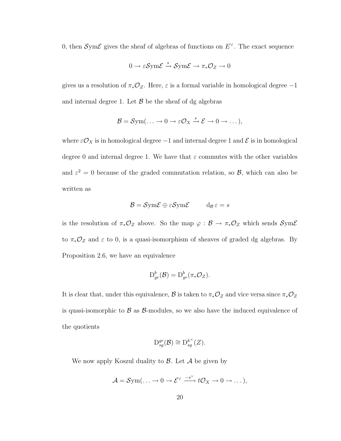0, then  $\mathcal{S}\text{ym}\mathcal{E}$  gives the sheaf of algebras of functions on  $E^{\vee}$ . The exact sequence

$$
0 \to \varepsilon \mathcal{S} \text{ym} \mathcal{E} \xrightarrow{s} \mathcal{S} \text{ym} \mathcal{E} \to \pi_* \mathcal{O}_Z \to 0
$$

gives us a resolution of  $\pi_*\mathcal{O}_Z$ . Here,  $\varepsilon$  is a formal variable in homological degree  $-1$ and internal degree 1. Let  $\beta$  be the sheaf of dg algebras

$$
\mathcal{B} = \mathcal{S}\mathrm{ym}(\ldots \to 0 \to \varepsilon \mathcal{O}_X \xrightarrow{s} \mathcal{E} \to 0 \to \ldots),
$$

where  $\varepsilon \mathcal{O}_X$  is in homological degree  $-1$  and internal degree 1 and  $\mathcal E$  is in homological degree 0 and internal degree 1. We have that  $\varepsilon$  commutes with the other variables and  $\varepsilon^2 = 0$  because of the graded commutation relation, so  $\mathcal{B}$ , which can also be written as

$$
\mathcal{B} = \mathcal{S}\text{ym}\mathcal{E} \oplus \varepsilon \mathcal{S}\text{ym}\mathcal{E} \qquad \mathbf{d}_{\mathcal{B}} \varepsilon = s
$$

is the resolution of  $\pi_*\mathcal{O}_Z$  above. So the map  $\varphi : \mathcal{B} \to \pi_*\mathcal{O}_Z$  which sends  $\mathcal{S}\text{ym}\mathcal{E}$ to  $\pi_*\mathcal{O}_Z$  and  $\varepsilon$  to 0, is a quasi-isomorphism of sheaves of graded dg algebras. By Proposition 2.6, we have an equivalence

$$
\mathrm{D}_{gr}^b(\mathcal{B})=\mathrm{D}_{gr}^b(\pi_*\mathcal{O}_Z).
$$

It is clear that, under this equivalence,  $\mathcal B$  is taken to  $\pi_*\mathcal O_Z$  and vice versa since  $\pi_*\mathcal O_Z$ is quasi-isomorphic to *B* as *B*-modules, so we also have the induced equivalence of the quotients

$$
\mathcal{D}_{sg}^{gr}(\mathcal{B}) \cong \mathcal{D}_{sg}^{k^{\times}}(Z).
$$

We now apply Koszul duality to *B*. Let *A* be given by

$$
\mathcal{A} = \mathcal{S}\text{ym}(\ldots \to 0 \to \mathcal{E}^{\vee} \xrightarrow{-s^{\vee}} t\mathcal{O}_X \to 0 \to \ldots),
$$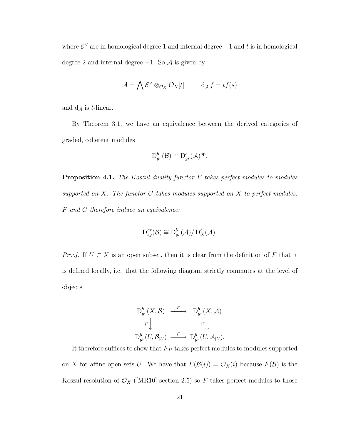where  $\mathcal{E}^{\vee}$  are in homological degree 1 and internal degree  $-1$  and  $t$  is in homological degree 2 and internal degree −1. So *A* is given by

$$
\mathcal{A} = \bigwedge \mathcal{E}^{\vee} \otimes_{\mathcal{O}_X} \mathcal{O}_X[t] \qquad d_{\mathcal{A}} f = tf(s)
$$

and  $d_{\mathcal{A}}$  is *t*-linear.

By Theorem 3.1, we have an equivalence between the derived categories of graded, coherent modules

$$
\mathrm{D}_{gr}^b(\mathcal{B}) \cong \mathrm{D}_{gr}^b(\mathcal{A})^{\mathrm{op}}.
$$

Proposition 4.1. *The Koszul duality functor F takes perfect modules to modules supported on X. The functor G takes modules supported on X to perfect modules. F and G therefore induce an equivalence:*

$$
\mathrm{D}_{sg}^{gr}(\mathcal{B}) \cong \mathrm{D}_{gr}^b(\mathcal{A})/\mathrm{D}_X^b(\mathcal{A}).
$$

*Proof.* If  $U \subset X$  is an open subset, then it is clear from the definition of F that it is defined locally, i.e. that the following diagram strictly commutes at the level of objects

$$
\begin{array}{ccc}\nD_{gr}^b(X,\mathcal{B}) & \xrightarrow{F} & D_{gr}^b(X,\mathcal{A}) \\
& & & \iint_{i^*} & & \iint_{i^*} \\
D_{gr}^b(U,\mathcal{B}_{|U}) & \xrightarrow{F} & D_{gr}^b(U,\mathcal{A}_{|U}).\n\end{array}
$$

It therefore suffices to show that  $F_{|U}$  takes perfect modules to modules supported on *X* for affine open sets *U*. We have that  $F(\mathcal{B}(i)) = \mathcal{O}_X(i)$  because  $F(\mathcal{B})$  is the Koszul resolution of  $\mathcal{O}_X$  ([MR10] section 2.5) so  $F$  takes perfect modules to those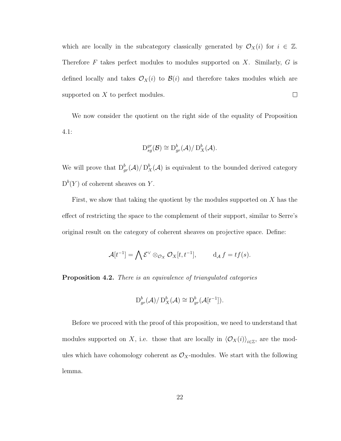which are locally in the subcategory classically generated by  $\mathcal{O}_X(i)$  for  $i \in \mathbb{Z}$ . Therefore *F* takes perfect modules to modules supported on *X*. Similarly, *G* is defined locally and takes  $\mathcal{O}_X(i)$  to  $\mathcal{B}(i)$  and therefore takes modules which are  $\Box$ supported on *X* to perfect modules.

We now consider the quotient on the right side of the equality of Proposition 4.1:

$$
\mathrm{D}_{sg}^{gr}(\mathcal{B}) \cong \mathrm{D}_{gr}^b(\mathcal{A})/\mathrm{D}_X^b(\mathcal{A}).
$$

We will prove that  $D^b_{gr}(\mathcal{A})/D^b_{X}(\mathcal{A})$  is equivalent to the bounded derived category  $D^{b}(Y)$  of coherent sheaves on *Y*.

First, we show that taking the quotient by the modules supported on *X* has the effect of restricting the space to the complement of their support, similar to Serre's original result on the category of coherent sheaves on projective space. Define:

$$
\mathcal{A}[t^{-1}] = \bigwedge \mathcal{E}^{\vee} \otimes_{\mathcal{O}_X} \mathcal{O}_X[t, t^{-1}], \qquad d_{\mathcal{A}} f = tf(s).
$$

Proposition 4.2. *There is an equivalence of triangulated categories*

$$
\mathrm{D}_{gr}^b(\mathcal{A})/\mathrm{D}_X^b(\mathcal{A})\cong \mathrm{D}_{gr}^b(\mathcal{A}[t^{-1}]).
$$

Before we proceed with the proof of this proposition, we need to understand that modules supported on *X*, i.e. those that are locally in  $\langle \mathcal{O}_X(i) \rangle_{i \in \mathbb{Z}}$ , are the modules which have cohomology coherent as  $\mathcal{O}_X$ -modules. We start with the following lemma.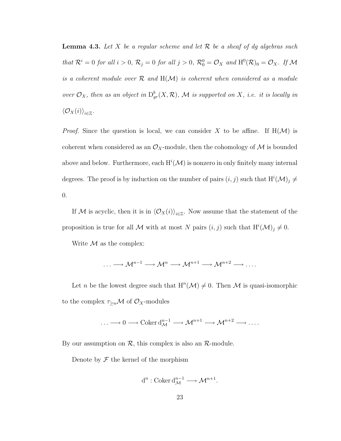Lemma 4.3. *Let X be a regular scheme and let R be a sheaf of dg algebras such that*  $\mathcal{R}^i = 0$  *for all*  $i > 0$ ,  $\mathcal{R}_j = 0$  *for all*  $j > 0$ ,  $\mathcal{R}_0^0 = \mathcal{O}_X$  *and*  $H^0(\mathcal{R})_0 = \mathcal{O}_X$ *. If*  $\mathcal{M}$ *is a coherent module over R and* H(*M*) *is coherent when considered as a module over*  $\mathcal{O}_X$ *, then as an object in*  $D^b_{gr}(X,\mathcal{R})$ *, M is supported on X, i.e. it is locally in*  $\langle \mathcal{O}_X(i) \rangle_{i \in \mathbb{Z}}$ *.* 

*Proof.* Since the question is local, we can consider X to be affine. If  $H(\mathcal{M})$  is coherent when considered as an  $\mathcal{O}_X$ -module, then the cohomology of  $\mathcal M$  is bounded above and below. Furthermore, each  $H^i(\mathcal{M})$  is nonzero in only finitely many internal degrees. The proof is by induction on the number of pairs  $(i, j)$  such that  $H^{i}(\mathcal{M})_{j} \neq$ 0.

If *M* is acyclic, then it is in  $\langle \mathcal{O}_X(i) \rangle_{i \in \mathbb{Z}}$ . Now assume that the statement of the proposition is true for all *M* with at most *N* pairs  $(i, j)$  such that  $H^{i}(\mathcal{M})_{j} \neq 0$ .

Write  $M$  as the complex:

$$
\ldots \longrightarrow \mathcal{M}^{n-1} \longrightarrow \mathcal{M}^n \longrightarrow \mathcal{M}^{n+1} \longrightarrow \mathcal{M}^{n+2} \longrightarrow \ldots
$$

Let *n* be the lowest degree such that  $H^n(\mathcal{M}) \neq 0$ . Then M is quasi-isomorphic to the complex  $\tau_{\geq n} \mathcal{M}$  of  $\mathcal{O}_X$ -modules

$$
\ldots \longrightarrow 0 \longrightarrow \operatorname{Coker} \mathrm{d}^{n-1}_{\mathcal{M}} \longrightarrow \mathcal{M}^{n+1} \longrightarrow \mathcal{M}^{n+2} \longrightarrow \ldots
$$

By our assumption on *R*, this complex is also an *R*-module.

Denote by  $\mathcal F$  the kernel of the morphism

$$
d^n : \mathrm{Coker}\,d_{\mathcal{M}}^{n-1} \longrightarrow \mathcal{M}^{n+1}.
$$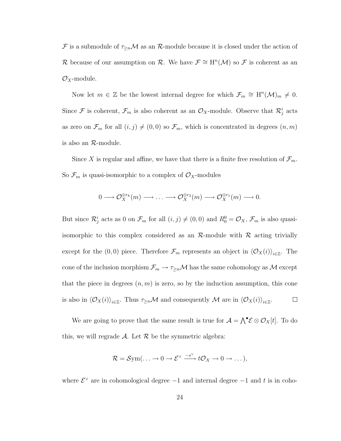$\mathcal F$  is a submodule of  $\tau_{\ge n}\mathcal M$  as an  $\mathcal R$ -module because it is closed under the action of *R* because of our assumption on *R*. We have  $\mathcal{F} \cong H^n(\mathcal{M})$  so  $\mathcal{F}$  is coherent as an *OX*-module.

Now let  $m \in \mathbb{Z}$  be the lowest internal degree for which  $\mathcal{F}_m \cong H^n(\mathcal{M})_m \neq 0$ . Since  $\mathcal F$  is coherent,  $\mathcal F_m$  is also coherent as an  $\mathcal O_X$ -module. Observe that  $\mathcal R^i_j$  acts as zero on  $\mathcal{F}_m$  for all  $(i, j) \neq (0, 0)$  so  $\mathcal{F}_m$ , which is concentrated in degrees  $(n, m)$ is also an *R*-module.

Since *X* is regular and affine, we have that there is a finite free resolution of  $\mathcal{F}_m$ . So  $\mathcal{F}_m$  is quasi-isomorphic to a complex of  $\mathcal{O}_X$ -modules

$$
0 \longrightarrow \mathcal{O}_X^{\oplus r_k}(m) \longrightarrow \ldots \longrightarrow \mathcal{O}_X^{\oplus r_2}(m) \longrightarrow \mathcal{O}_X^{\oplus r_1}(m) \longrightarrow 0.
$$

But since  $\mathcal{R}^i_j$  acts as 0 on  $\mathcal{F}_m$  for all  $(i, j) \neq (0, 0)$  and  $R^0_0 = \mathcal{O}_X$ ,  $\mathcal{F}_m$  is also quasiisomorphic to this complex considered as an  $\mathcal{R}$ -module with  $\mathcal{R}$  acting trivially except for the (0,0) piece. Therefore  $\mathcal{F}_m$  represents an object in  $\langle \mathcal{O}_X(i) \rangle_{i \in \mathbb{Z}}$ . The cone of the inclusion morphism  $\mathcal{F}_m \to \tau_{\geq n} \mathcal{M}$  has the same cohomology as  $\mathcal M$  except that the piece in degrees  $(n, m)$  is zero, so by the induction assumption, this cone is also in  $\langle \mathcal{O}_X(i) \rangle_{i \in \mathbb{Z}}$ . Thus  $\tau_{\geq n} \mathcal{M}$  and consequently  $\mathcal{M}$  are in  $\langle \mathcal{O}_X(i) \rangle_{i \in \mathbb{Z}}$ .  $\Box$ 

We are going to prove that the same result is true for  $A = \bigwedge^{\bullet} E \otimes \mathcal{O}_X[t]$ . To do this, we will regrade  $\mathcal A$ . Let  $\mathcal R$  be the symmetric algebra:

$$
\mathcal{R}=\mathcal{S}\mathrm{ym}(\ldots \to 0 \to \mathcal{E}^{\vee} \xrightarrow{-s^{\vee}} t\mathcal{O}_X \to 0 \to \ldots),
$$

where  $\mathcal{E}^{\vee}$  are in cohomological degree  $-1$  and internal degree  $-1$  and t is in coho-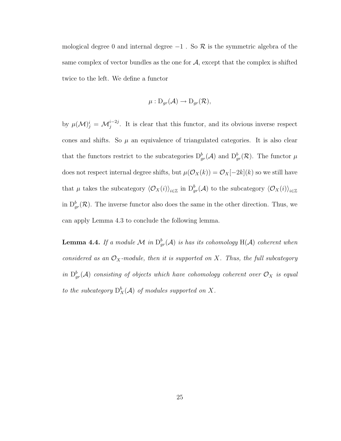mological degree 0 and internal degree  $-1$ . So  $\mathcal R$  is the symmetric algebra of the same complex of vector bundles as the one for  $A$ , except that the complex is shifted twice to the left. We define a functor

$$
\mu: \mathrm{D}_{gr}(\mathcal{A}) \to \mathrm{D}_{gr}(\mathcal{R}),
$$

by  $\mu(\mathcal{M})_j^i = \mathcal{M}_j^{i-2j}$ . It is clear that this functor, and its obvious inverse respect cones and shifts. So  $\mu$  an equivalence of triangulated categories. It is also clear that the functors restrict to the subcategories  $D_{gr}^b(\mathcal{A})$  and  $D_{gr}^b(\mathcal{R})$ . The functor  $\mu$ does not respect internal degree shifts, but  $\mu(\mathcal{O}_X(k)) = \mathcal{O}_X[-2k](k)$  so we still have that  $\mu$  takes the subcategory  $\langle \mathcal{O}_X(i) \rangle_{i \in \mathbb{Z}}$  in  $D^b_{gr}(\mathcal{A})$  to the subcategory  $\langle \mathcal{O}_X(i) \rangle_{i \in \mathbb{Z}}$ in  $D_{gr}^b(\mathcal{R})$ . The inverse functor also does the same in the other direction. Thus, we can apply Lemma 4.3 to conclude the following lemma.

**Lemma 4.4.** If a module  $\mathcal M$  in  $D^b_{gr}(\mathcal A)$  is has its cohomology  $H(\mathcal A)$  coherent when *considered as an*  $\mathcal{O}_X$ *-module, then it is supported on X. Thus, the full subcategory in*  $D^b_{gr}(\mathcal{A})$  *consisting of objects which have cohomology coherent over*  $\mathcal{O}_X$  *is equal to the subcategory*  $D_X^b(\mathcal{A})$  *of modules supported on*  $X$ *.*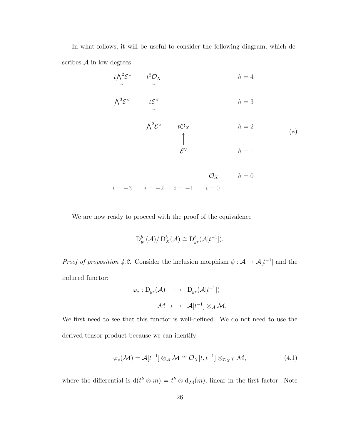In what follows, it will be useful to consider the following diagram, which describes  $A$  in low degrees

$$
t\Lambda^{2}\mathcal{E}^{\vee}
$$
\n
$$
t^{2}\mathcal{O}_{X}
$$
\n
$$
h = 4
$$
\n
$$
\uparrow \qquad \qquad h = 3
$$
\n
$$
\uparrow \qquad \qquad \downarrow \mathcal{E}^{\vee}
$$
\n
$$
\uparrow \qquad \qquad \downarrow \mathcal{E}^{\vee}
$$
\n
$$
\uparrow \qquad \qquad \downarrow \mathcal{E}^{\vee}
$$
\n
$$
\downarrow \mathcal{E}^{\vee}
$$
\n
$$
h = 2
$$
\n
$$
\uparrow \qquad \qquad \downarrow \mathcal{E}^{\vee}
$$
\n
$$
h = 1
$$
\n
$$
(*)
$$

$$
\mathcal{O}_X \qquad h = 0
$$
  
 $i = -3$   $i = -2$   $i = -1$   $i = 0$ 

We are now ready to proceed with the proof of the equivalence

$$
\mathrm{D}_{gr}^b(\mathcal{A})/\mathrm{D}_X^b(\mathcal{A})\cong \mathrm{D}_{gr}^b(\mathcal{A}[t^{-1}]).
$$

*Proof of proposition 4.2.* Consider the inclusion morphism  $\phi : A \to A[t^{-1}]$  and the induced functor:

$$
\varphi_*: \mathrm{D}_{gr}(\mathcal{A}) \ \longrightarrow \ \mathrm{D}_{gr}(\mathcal{A}[t^{-1}])
$$

$$
\mathcal{M} \ \longmapsto \ \mathcal{A}[t^{-1}] \otimes_{\mathcal{A}} \mathcal{M}.
$$

We first need to see that this functor is well-defined. We do not need to use the derived tensor product because we can identify

$$
\varphi_*(\mathcal{M}) = \mathcal{A}[t^{-1}] \otimes_{\mathcal{A}} \mathcal{M} \cong \mathcal{O}_X[t, t^{-1}] \otimes_{\mathcal{O}_X[t]} \mathcal{M},
$$
\n(4.1)

where the differential is  $d(t^k \otimes m) = t^k \otimes d_{\mathcal{M}}(m)$ , linear in the first factor. Note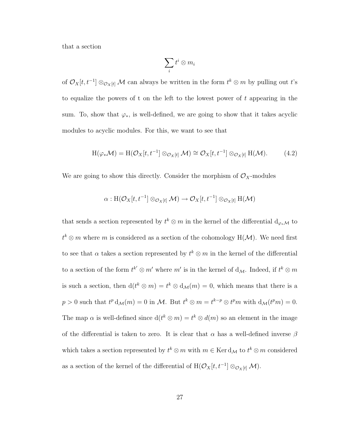that a section

$$
\sum_i t^i \otimes m_i
$$

of  $\mathcal{O}_X[t, t^{-1}] \otimes_{\mathcal{O}_X[t]} \mathcal{M}$  can always be written in the form  $t^k \otimes m$  by pulling out  $t$ 's to equalize the powers of t on the left to the lowest power of *t* appearing in the sum. To, show that  $\varphi_*,$  is well-defined, we are going to show that it takes acyclic modules to acyclic modules. For this, we want to see that

$$
H(\varphi_* \mathcal{M}) = H(\mathcal{O}_X[t, t^{-1}] \otimes_{\mathcal{O}_X[t]} \mathcal{M}) \cong \mathcal{O}_X[t, t^{-1}] \otimes_{\mathcal{O}_X[t]} H(\mathcal{M}). \tag{4.2}
$$

We are going to show this directly. Consider the morphism of  $\mathcal{O}_X$ -modules

$$
\alpha: \mathrm{H}(\mathcal{O}_X[t, t^{-1}]\otimes_{\mathcal{O}_X[t]} \mathcal{M}) \to \mathcal{O}_X[t, t^{-1}]\otimes_{\mathcal{O}_X[t]} \mathrm{H}(\mathcal{M})
$$

that sends a section represented by  $t^k \otimes m$  in the kernel of the differential  $d_{\varphi_*\mathcal{M}}$  to  $t^k \otimes m$  where *m* is considered as a section of the cohomology H( $\mathcal{M}$ ). We need first to see that  $\alpha$  takes a section represented by  $t^k \otimes m$  in the kernel of the differential to a section of the form  $t^{k'} \otimes m'$  where  $m'$  is in the kernel of  $d_M$ . Indeed, if  $t^k \otimes m$ is such a section, then  $d(t^k \otimes m) = t^k \otimes d_{\mathcal{M}}(m) = 0$ , which means that there is a  $p > 0$  such that  $t^p d_M(m) = 0$  in *M*. But  $t^k \otimes m = t^{k-p} \otimes t^p m$  with  $d_M(t^p m) = 0$ . The map  $\alpha$  is well-defined since  $d(t^k \otimes m) = t^k \otimes d(m)$  so an element in the image of the differential is taken to zero. It is clear that  $\alpha$  has a well-defined inverse  $\beta$ which takes a section represented by  $t^k \otimes m$  with  $m \in \text{Ker } d_{\mathcal{M}}$  to  $t^k \otimes m$  considered as a section of the kernel of the differential of  $H(\mathcal{O}_X[t, t^{-1}] \otimes_{\mathcal{O}_X[t]} \mathcal{M})$ .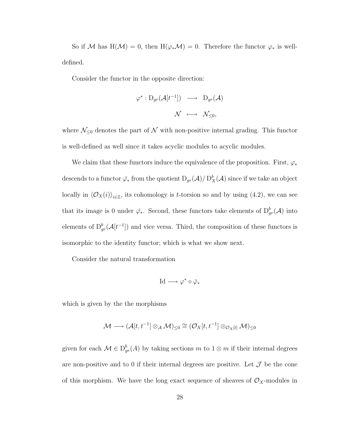So if *M* has  $H(\mathcal{M}) = 0$ , then  $H(\varphi_* \mathcal{M}) = 0$ . Therefore the functor  $\varphi_*$  is welldefined.

Consider the functor in the opposite direction:

$$
\varphi^* : D_{gr}(\mathcal{A}[t^{-1}]) \longrightarrow D_{gr}(\mathcal{A})
$$

$$
\mathcal{N} \longmapsto \mathcal{N}_{\leq 0},
$$

where  $\mathcal{N}_{\leq 0}$  denotes the part of  $\mathcal N$  with non-positive internal grading. This functor is well-defined as well since it takes acyclic modules to acyclic modules.

We claim that these functors induce the equivalence of the proposition. First,  $\varphi_*$ descends to a functor  $\bar{\varphi}_*$  from the quotient  $D_{gr}(\mathcal{A})/D^b_X(\mathcal{A})$  since if we take an object locally in  $\langle \mathcal{O}_X(i) \rangle_{i \in \mathbb{Z}}$ , its cohomology is *t*-torsion so and by using (4.2), we can see that its image is 0 under  $\bar{\varphi}_*$ . Second, these functors take elements of  $D^b_{gr}(\mathcal{A})$  into elements of  $D_{gr}^b(\mathcal{A}[t^{-1}])$  and vice versa. Third, the composition of these functors is isomorphic to the identity functor; which is what we show next.

Consider the natural transformation

$$
\mathrm{Id} \longrightarrow \varphi^* \circ \bar{\varphi}_*
$$

which is given by the the morphisms

$$
\mathcal{M} \longrightarrow (\mathcal{A}[t, t^{-1}] \otimes_{\mathcal{A}} \mathcal{M})_{\leq 0} \cong (\mathcal{O}_X[t, t^{-1}] \otimes_{\mathcal{O}_X[t]} \mathcal{M})_{\leq 0}
$$

given for each  $\mathcal{M} \in D^b_{gr}(A)$  by taking sections  $m$  to  $1 \otimes m$  if their internal degrees are non-positive and to 0 if their internal degrees are positive. Let  $\mathcal J$  be the cone of this morphism. We have the long exact sequence of sheaves of  $\mathcal{O}_X$ -modules in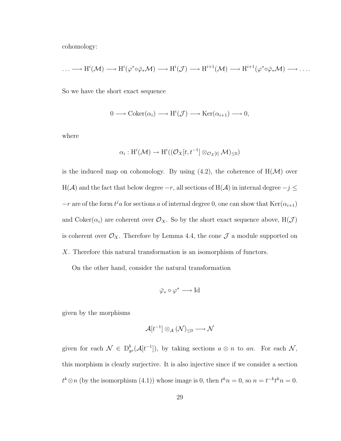cohomology:

$$
\ldots \longrightarrow H^{i}(\mathcal{M}) \longrightarrow H^{i}(\varphi^{*} \circ \overline{\varphi}_{*} \mathcal{M}) \longrightarrow H^{i}(\mathcal{J}) \longrightarrow H^{i+1}(\mathcal{M}) \longrightarrow H^{i+1}(\varphi^{*} \circ \overline{\varphi}_{*} \mathcal{M}) \longrightarrow \ldots
$$

So we have the short exact sequence

$$
0 \longrightarrow \mathrm{Coker}(\alpha_i) \longrightarrow \mathrm{H}^i(\mathcal{J}) \longrightarrow \mathrm{Ker}(\alpha_{i+1}) \longrightarrow 0,
$$

where

$$
\alpha_i: \mathrm{H}^i(\mathcal{M}) \to \mathrm{H}^i((\mathcal{O}_X[t, t^{-1}] \otimes_{\mathcal{O}_X[t]} \mathcal{M})_{\leq 0})
$$

is the induced map on cohomology. By using  $(4.2)$ , the coherence of  $H(\mathcal{M})$  over H( $A$ ) and the fact that below degree  $-r$ , all sections of H( $A$ ) in internal degree  $-j \leq$  $-r$  are of the form  $t^j a$  for sections *a* of internal degree 0, one can show that Ker( $\alpha_{i+1}$ ) and  $Coker(\alpha_i)$  are coherent over  $\mathcal{O}_X$ . So by the short exact sequence above,  $H(\mathcal{J})$ is coherent over  $\mathcal{O}_X$ . Therefore by Lemma 4.4, the cone  $\mathcal J$  a module supported on *X*. Therefore this natural transformation is an isomorphism of functors.

On the other hand, consider the natural transformation

$$
\bar{\varphi}_* \circ \varphi^* \longrightarrow \mathrm{Id}
$$

given by the morphisms

$$
\mathcal{A}[t^{-1}]\otimes_{\mathcal{A}}(\mathcal{N})_{\leq 0}\longrightarrow \mathcal{N}
$$

given for each  $\mathcal{N} \in D^b_{gr}(\mathcal{A}[t^{-1}])$ , by taking sections  $a \otimes n$  to an. For each  $\mathcal{N}$ , this morphism is clearly surjective. It is also injective since if we consider a section  $t^k \otimes n$  (by the isomorphism (4.1)) whose image is 0, then  $t^k n = 0$ , so  $n = t^{-k} t^k n = 0$ .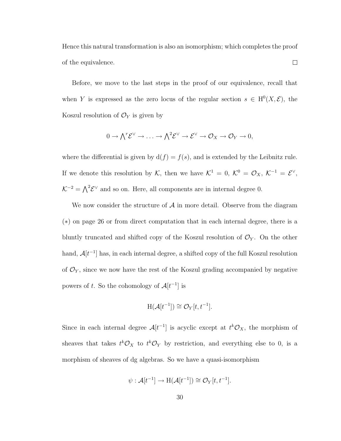Hence this natural transformation is also an isomorphism; which completes the proof of the equivalence.  $\Box$ 

Before, we move to the last steps in the proof of our equivalence, recall that when *Y* is expressed as the zero locus of the regular section  $s \in H^0(X, \mathcal{E})$ , the Koszul resolution of  $\mathcal{O}_Y$  is given by

$$
0 \to \bigwedge^r \mathcal{E}^{\vee} \to \ldots \to \bigwedge^2 \mathcal{E}^{\vee} \to \mathcal{E}^{\vee} \to \mathcal{O}_X \to \mathcal{O}_Y \to 0,
$$

where the differential is given by  $d(f) = f(s)$ , and is extended by the Leibnitz rule. If we denote this resolution by *K*, then we have  $K^1 = 0$ ,  $K^0 = \mathcal{O}_X$ ,  $K^{-1} = \mathcal{E}^{\vee}$ ,  $K^{-2} = \bigwedge^2 \mathcal{E}^{\vee}$  and so on. Here, all components are in internal degree 0.

We now consider the structure of *A* in more detail. Observe from the diagram (∗) on page 26 or from direct computation that in each internal degree, there is a bluntly truncated and shifted copy of the Koszul resolution of  $\mathcal{O}_Y$ . On the other hand,  $\mathcal{A}[t^{-1}]$  has, in each internal degree, a shifted copy of the full Koszul resolution of  $\mathcal{O}_Y$ , since we now have the rest of the Koszul grading accompanied by negative powers of *t*. So the cohomology of  $\mathcal{A}[t^{-1}]$  is

$$
H(\mathcal{A}[t^{-1}]) \cong \mathcal{O}_Y[t, t^{-1}].
$$

Since in each internal degree  $\mathcal{A}[t^{-1}]$  is acyclic except at  $t^k \mathcal{O}_X$ , the morphism of sheaves that takes  $t^k \mathcal{O}_X$  to  $t^k \mathcal{O}_Y$  by restriction, and everything else to 0, is a morphism of sheaves of dg algebras. So we have a quasi-isomorphism

$$
\psi: \mathcal{A}[t^{-1}] \to \mathrm{H}(\mathcal{A}[t^{-1}]) \cong \mathcal{O}_Y[t, t^{-1}].
$$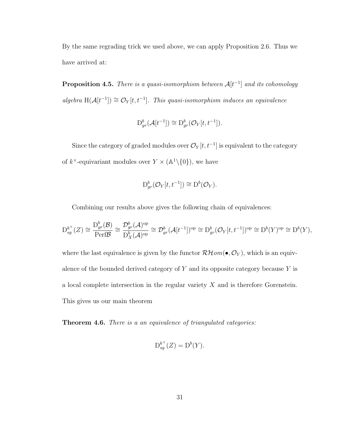By the same regrading trick we used above, we can apply Proposition 2.6. Thus we have arrived at:

**Proposition 4.5.** *There is a quasi-isomorphism between*  $\mathcal{A}[t^{-1}]$  *and its cohomology algebra*  $H(A[t^{-1}]) \cong \mathcal{O}_Y[t, t^{-1}]$ *. This quasi-isomorphism induces an equivalence* 

$$
\mathcal{D}_{gr}^b(\mathcal{A}[t^{-1}]) \cong \mathcal{D}_{gr}^b(\mathcal{O}_Y[t, t^{-1}]).
$$

Since the category of graded modules over  $\mathcal{O}_Y[t, t^{-1}]$  is equivalent to the category of  $k^{\times}$ -equivariant modules over  $Y \times (\mathbb{A}^1 \backslash \{0\})$ , we have

$$
\mathrm{D}_{gr}^b(\mathcal{O}_Y[t, t^{-1}]) \cong \mathrm{D}^b(\mathcal{O}_Y).
$$

Combining our results above gives the following chain of equivalences:

$$
D_{sg}^{k^{\times}}(Z) \cong \frac{D_{gr}^{b}(B)}{\text{Perf}\mathcal{B}} \cong \frac{\mathcal{D}_{gr}^{b}(\mathcal{A})^{\text{op}}}{D_{X}^{b}(\mathcal{A})^{\text{op}}} \cong \mathcal{D}_{gr}^{b}(\mathcal{A}[t^{-1}])^{\text{op}} \cong D_{gr}^{b}(\mathcal{O}_{Y}[t, t^{-1}])^{\text{op}} \cong D^{b}(Y)^{\text{op}} \cong D^{b}(Y),
$$

where the last equivalence is given by the functor  $\mathcal{RH}$ *om*( $\bullet$ *,* $\mathcal{O}_Y$ *)*, which is an equivalence of the bounded derived category of *Y* and its opposite category because *Y* is a local complete intersection in the regular variety *X* and is therefore Gorenstein. This gives us our main theorem

Theorem 4.6. *There is a an equivalence of triangulated categories:*

$$
D_{sg}^{k^{\times}}(Z) = D^{b}(Y).
$$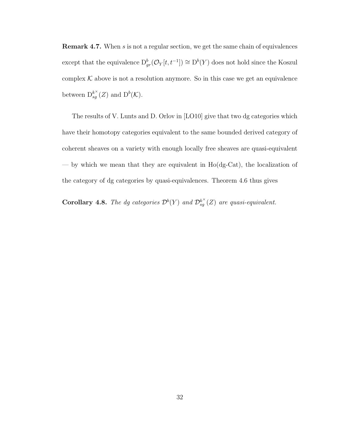Remark 4.7. When *s* is not a regular section, we get the same chain of equivalences except that the equivalence  $D^b_{gr}(\mathcal{O}_Y[t, t^{-1}]) \cong D^b(Y)$  does not hold since the Koszul complex  $K$  above is not a resolution anymore. So in this case we get an equivalence between  $D_{sg}^{k^{\times}}(Z)$  and  $D^{b}(\mathcal{K})$ .

The results of V. Lunts and D. Orlov in [LO10] give that two dg categories which have their homotopy categories equivalent to the same bounded derived category of coherent sheaves on a variety with enough locally free sheaves are quasi-equivalent — by which we mean that they are equivalent in Ho(dg-Cat), the localization of the category of dg categories by quasi-equivalences. Theorem 4.6 thus gives

**Corollary 4.8.** *The dg categories*  $\mathcal{D}^b(Y)$  *and*  $\mathcal{D}_{sg}^{k^{\times}}(Z)$  *are quasi-equivalent.*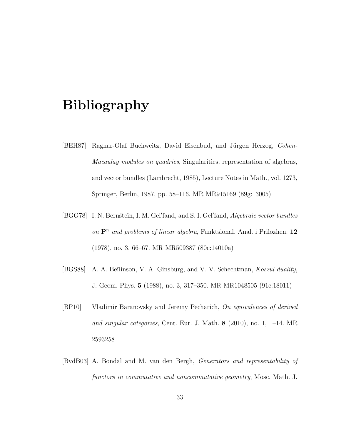## Bibliography

- [BEH87] Ragnar-Olaf Buchweitz, David Eisenbud, and Jürgen Herzog, *Cohen-Macaulay modules on quadrics*, Singularities, representation of algebras, and vector bundles (Lambrecht, 1985), Lecture Notes in Math., vol. 1273, Springer, Berlin, 1987, pp. 58–116. MR MR915169 (89g:13005)
- [BGG78] I. N. Bernšteĭn, I. M. Gel'fand, and S. I. Gel'fand, *Algebraic vector bundles on* P*<sup>n</sup> and problems of linear algebra*, Funktsional. Anal. i Prilozhen. 12 (1978), no. 3, 66–67. MR MR509387 (80c:14010a)
- [BGS88] A. A. Be˘ılinson, V. A. Ginsburg, and V. V. Schechtman, *Koszul duality*, J. Geom. Phys. 5 (1988), no. 3, 317–350. MR MR1048505 (91c:18011)
- [BP10] Vladimir Baranovsky and Jeremy Pecharich, *On equivalences of derived and singular categories*, Cent. Eur. J. Math. 8 (2010), no. 1, 1–14. MR 2593258
- [BvdB03] A. Bondal and M. van den Bergh, *Generators and representability of functors in commutative and noncommutative geometry*, Mosc. Math. J.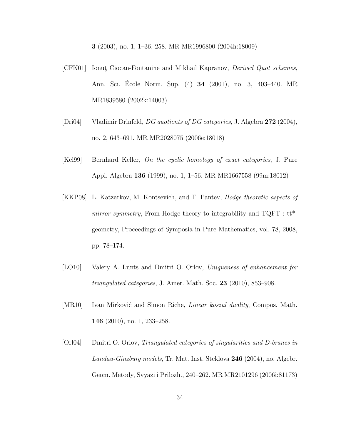3 (2003), no. 1, 1–36, 258. MR MR1996800 (2004h:18009)

- [CFK01] Ionut¸ Ciocan-Fontanine and Mikhail Kapranov, *Derived Quot schemes*, Ann. Sci. Ecole Norm. Sup. (4) **34** (2001), no. 3, 403-440. MR MR1839580 (2002k:14003)
- [Dri04] Vladimir Drinfeld, *DG quotients of DG categories*, J. Algebra 272 (2004), no. 2, 643–691. MR MR2028075 (2006e:18018)
- [Kel99] Bernhard Keller, *On the cyclic homology of exact categories*, J. Pure Appl. Algebra 136 (1999), no. 1, 1–56. MR MR1667558 (99m:18012)
- [KKP08] L. Katzarkov, M. Kontsevich, and T. Pantev, *Hodge theoretic aspects of mirror symmetry*, From Hodge theory to integrability and TQFT : tt\* geometry, Proceedings of Symposia in Pure Mathematics, vol. 78, 2008, pp. 78–174.
- [LO10] Valery A. Lunts and Dmitri O. Orlov, *Uniqueness of enhancement for triangulated categories*, J. Amer. Math. Soc. 23 (2010), 853–908.
- [MR10] Ivan Mirković and Simon Riche, *Linear koszul duality*, Compos. Math. 146 (2010), no. 1, 233–258.
- [Orl04] Dmitri O. Orlov, *Triangulated categories of singularities and D-branes in Landau-Ginzburg models*, Tr. Mat. Inst. Steklova 246 (2004), no. Algebr. Geom. Metody, Svyazi i Prilozh., 240–262. MR MR2101296 (2006i:81173)